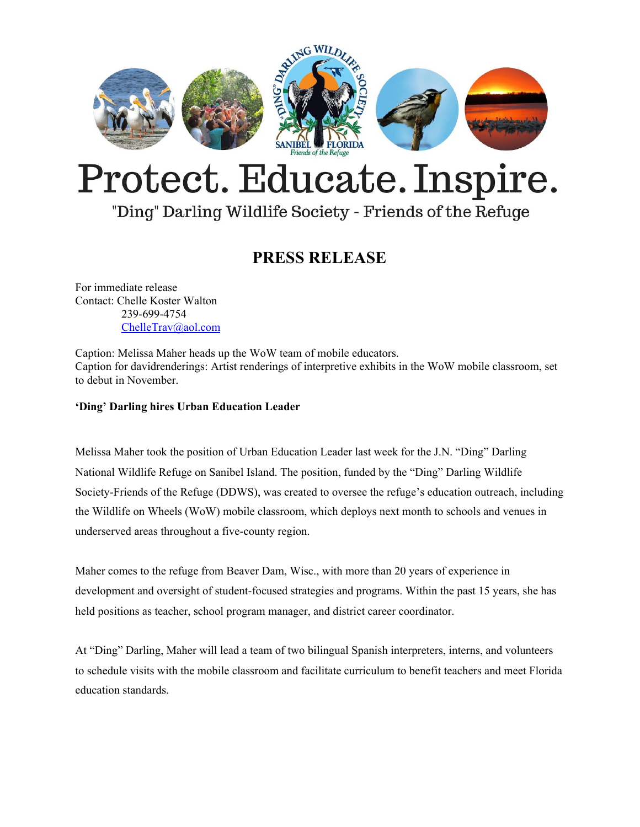

## Protect. Educate. Inspire.

## "Ding" Darling Wildlife Society - Friends of the Refuge

### **PRESS RELEASE**

For immediate release Contact: Chelle Koster Walton 239-699-4754 [ChelleTrav@aol.com](mailto:ChelleTrav@aol.com)

Caption: Melissa Maher heads up the WoW team of mobile educators. Caption for davidrenderings: Artist renderings of interpretive exhibits in the WoW mobile classroom, set to debut in November.

### **'Ding' Darling hires Urban Education Leader**

Melissa Maher took the position of Urban Education Leader last week for the J.N. "Ding" Darling National Wildlife Refuge on Sanibel Island. The position, funded by the "Ding" Darling Wildlife Society-Friends of the Refuge (DDWS), was created to oversee the refuge's education outreach, including the Wildlife on Wheels (WoW) mobile classroom, which deploys next month to schools and venues in underserved areas throughout a five-county region.

Maher comes to the refuge from Beaver Dam, Wisc., with more than 20 years of experience in development and oversight of student-focused strategies and programs. Within the past 15 years, she has held positions as teacher, school program manager, and district career coordinator.

At "Ding" Darling, Maher will lead a team of two bilingual Spanish interpreters, interns, and volunteers to schedule visits with the mobile classroom and facilitate curriculum to benefit teachers and meet Florida education standards.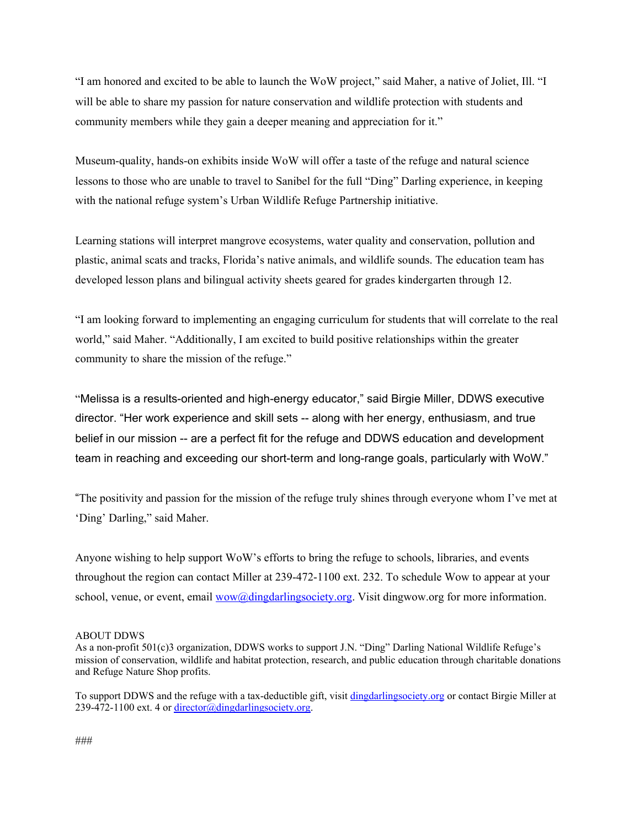"I am honored and excited to be able to launch the WoW project," said Maher, a native of Joliet, Ill. "I will be able to share my passion for nature conservation and wildlife protection with students and community members while they gain a deeper meaning and appreciation for it."

Museum-quality, hands-on exhibits inside WoW will offer a taste of the refuge and natural science lessons to those who are unable to travel to Sanibel for the full "Ding" Darling experience, in keeping with the national refuge system's Urban Wildlife Refuge Partnership initiative.

Learning stations will interpret mangrove ecosystems, water quality and conservation, pollution and plastic, animal scats and tracks, Florida's native animals, and wildlife sounds. The education team has developed lesson plans and bilingual activity sheets geared for grades kindergarten through 12.

"I am looking forward to implementing an engaging curriculum for students that will correlate to the real world," said Maher. "Additionally, I am excited to build positive relationships within the greater community to share the mission of the refuge."

"Melissa is a results-oriented and high-energy educator," said Birgie Miller, DDWS executive director. "Her work experience and skill sets -- along with her energy, enthusiasm, and true belief in our mission -- are a perfect fit for the refuge and DDWS education and development team in reaching and exceeding our short-term and long-range goals, particularly with WoW."

"The positivity and passion for the mission of the refuge truly shines through everyone whom I've met at 'Ding' Darling," said Maher.

Anyone wishing to help support WoW's efforts to bring the refuge to schools, libraries, and events throughout the region can contact Miller at 239-472-1100 ext. 232. To schedule Wow to appear at your school, venue, or event, email [wow@dingdarlingsociety.org](mailto:wow@dingdarlingsociety.org). Visit dingwow.org for more information.

#### ABOUT DDWS

To support DDWS and the refuge with a tax-deductible gift, visit dingdarlingsociety.org or contact Birgie Miller at 239-472-1100 ext. 4 or [director@dingdarlingsociety.org](mailto:director@dingdarlingsociety.org).

As a non-profit 501(c)3 organization, DDWS works to support J.N. "Ding" Darling National Wildlife Refuge's mission of conservation, wildlife and habitat protection, research, and public education through charitable donations and Refuge Nature Shop profits.